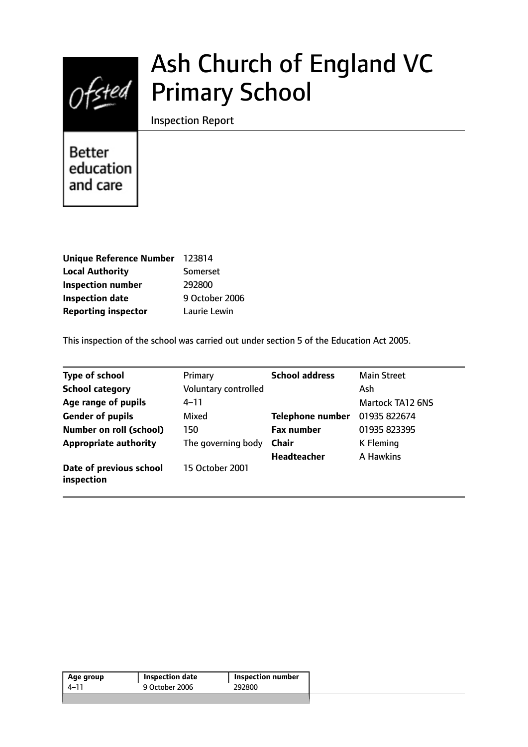

# Ash Church of England VC Primary School

Inspection Report

**Better** education and care

| Unique Reference Number 123814 |                |
|--------------------------------|----------------|
| <b>Local Authority</b>         | Somerset       |
| <b>Inspection number</b>       | 292800         |
| <b>Inspection date</b>         | 9 October 2006 |
| <b>Reporting inspector</b>     | Laurie Lewin   |

This inspection of the school was carried out under section 5 of the Education Act 2005.

| <b>Type of school</b>                 | Primary              | <b>School address</b>   | <b>Main Street</b>      |
|---------------------------------------|----------------------|-------------------------|-------------------------|
| <b>School category</b>                | Voluntary controlled |                         | Ash                     |
| Age range of pupils                   | 4–11                 |                         | <b>Martock TA12 6NS</b> |
| <b>Gender of pupils</b>               | Mixed                | <b>Telephone number</b> | 01935 822674            |
| <b>Number on roll (school)</b>        | 150                  | <b>Fax number</b>       | 01935 823395            |
| <b>Appropriate authority</b>          | The governing body   | <b>Chair</b>            | K Fleming               |
|                                       |                      | <b>Headteacher</b>      | A Hawkins               |
| Date of previous school<br>inspection | 15 October 2001      |                         |                         |

| 9 October 2006<br>292800<br>4–11 | Age group | Inspection date | Inspection number |  |
|----------------------------------|-----------|-----------------|-------------------|--|
|                                  |           |                 |                   |  |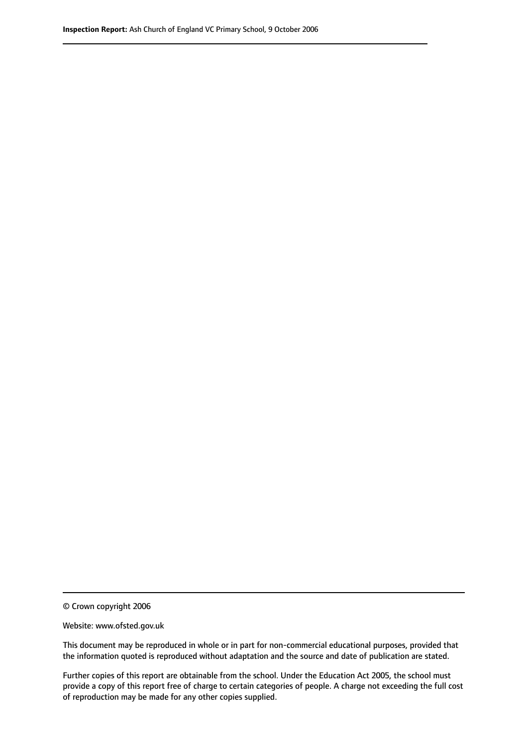© Crown copyright 2006

Website: www.ofsted.gov.uk

This document may be reproduced in whole or in part for non-commercial educational purposes, provided that the information quoted is reproduced without adaptation and the source and date of publication are stated.

Further copies of this report are obtainable from the school. Under the Education Act 2005, the school must provide a copy of this report free of charge to certain categories of people. A charge not exceeding the full cost of reproduction may be made for any other copies supplied.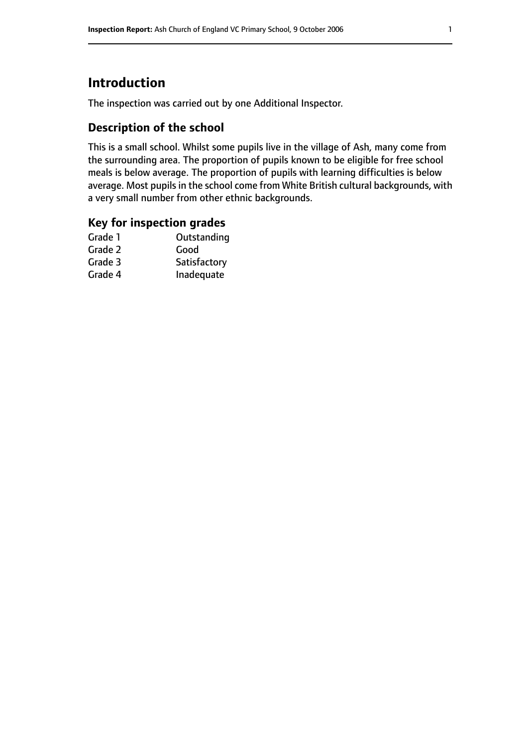# **Introduction**

The inspection was carried out by one Additional Inspector.

# **Description of the school**

This is a small school. Whilst some pupils live in the village of Ash, many come from the surrounding area. The proportion of pupils known to be eligible for free school meals is below average. The proportion of pupils with learning difficulties is below average. Most pupils in the school come from White British cultural backgrounds, with a very small number from other ethnic backgrounds.

## **Key for inspection grades**

| Good         |
|--------------|
|              |
| Satisfactory |
| Inadequate   |
|              |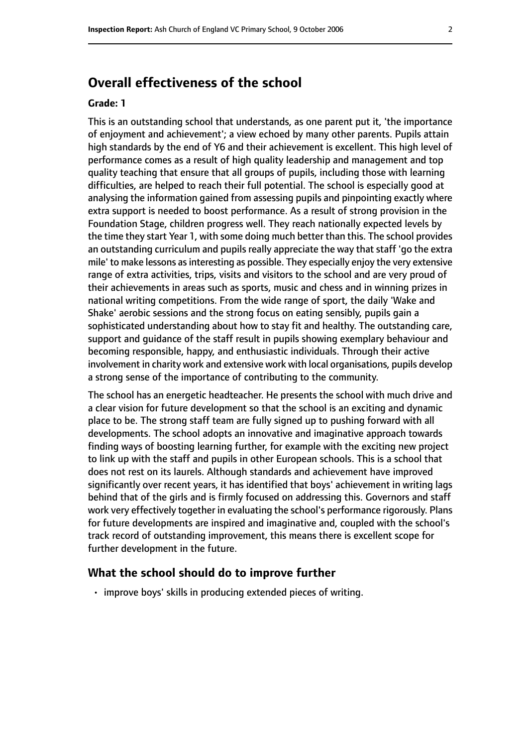# **Overall effectiveness of the school**

#### **Grade: 1**

This is an outstanding school that understands, as one parent put it, 'the importance of enjoyment and achievement'; a view echoed by many other parents. Pupils attain high standards by the end of Y6 and their achievement is excellent. This high level of performance comes as a result of high quality leadership and management and top quality teaching that ensure that all groups of pupils, including those with learning difficulties, are helped to reach their full potential. The school is especially good at analysing the information gained from assessing pupils and pinpointing exactly where extra support is needed to boost performance. As a result of strong provision in the Foundation Stage, children progress well. They reach nationally expected levels by the time they start Year 1, with some doing much better than this. The school provides an outstanding curriculum and pupils really appreciate the way that staff 'go the extra mile' to make lessons as interesting as possible. They especially enjoy the very extensive range of extra activities, trips, visits and visitors to the school and are very proud of their achievements in areas such as sports, music and chess and in winning prizes in national writing competitions. From the wide range of sport, the daily 'Wake and Shake' aerobic sessions and the strong focus on eating sensibly, pupils gain a sophisticated understanding about how to stay fit and healthy. The outstanding care, support and guidance of the staff result in pupils showing exemplary behaviour and becoming responsible, happy, and enthusiastic individuals. Through their active involvement in charity work and extensive work with local organisations, pupils develop a strong sense of the importance of contributing to the community.

The school has an energetic headteacher. He presents the school with much drive and a clear vision for future development so that the school is an exciting and dynamic place to be. The strong staff team are fully signed up to pushing forward with all developments. The school adopts an innovative and imaginative approach towards finding ways of boosting learning further, for example with the exciting new project to link up with the staff and pupils in other European schools. This is a school that does not rest on its laurels. Although standards and achievement have improved significantly over recent years, it has identified that boys' achievement in writing lags behind that of the girls and is firmly focused on addressing this. Governors and staff work very effectively together in evaluating the school's performance rigorously. Plans for future developments are inspired and imaginative and, coupled with the school's track record of outstanding improvement, this means there is excellent scope for further development in the future.

#### **What the school should do to improve further**

• improve boys' skills in producing extended pieces of writing.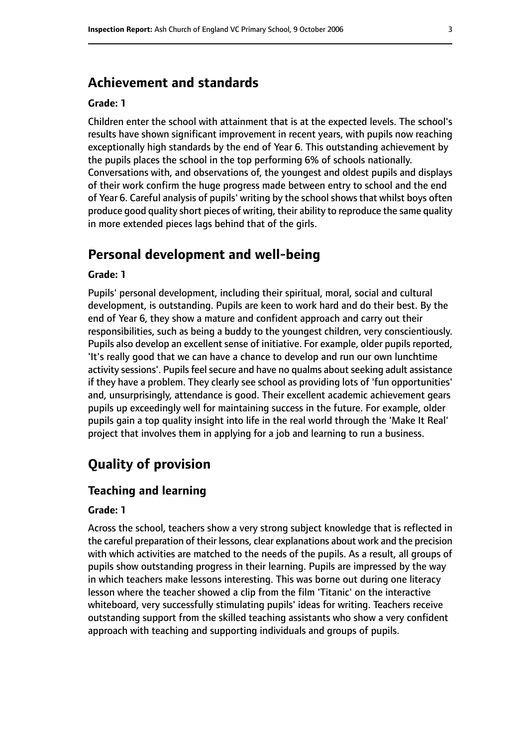# **Achievement and standards**

#### **Grade: 1**

Children enter the school with attainment that is at the expected levels. The school's results have shown significant improvement in recent years, with pupils now reaching exceptionally high standards by the end of Year 6. This outstanding achievement by the pupils places the school in the top performing 6% of schools nationally. Conversations with, and observations of, the youngest and oldest pupils and displays of their work confirm the huge progress made between entry to school and the end of Year 6. Careful analysis of pupils' writing by the school shows that whilst boys often produce good quality short pieces of writing, their ability to reproduce the same quality in more extended pieces lags behind that of the girls.

## **Personal development and well-being**

#### **Grade: 1**

Pupils' personal development, including their spiritual, moral, social and cultural development, is outstanding. Pupils are keen to work hard and do their best. By the end of Year 6, they show a mature and confident approach and carry out their responsibilities, such as being a buddy to the youngest children, very conscientiously. Pupils also develop an excellent sense of initiative. For example, older pupils reported, 'It's really good that we can have a chance to develop and run our own lunchtime activity sessions'. Pupils feel secure and have no qualms about seeking adult assistance if they have a problem. They clearly see school as providing lots of 'fun opportunities' and, unsurprisingly, attendance is good. Their excellent academic achievement gears pupils up exceedingly well for maintaining success in the future. For example, older pupils gain a top quality insight into life in the real world through the 'Make It Real' project that involves them in applying for a job and learning to run a business.

# **Quality of provision**

#### **Teaching and learning**

#### **Grade: 1**

Across the school, teachers show a very strong subject knowledge that is reflected in the careful preparation of their lessons, clear explanations about work and the precision with which activities are matched to the needs of the pupils. As a result, all groups of pupils show outstanding progress in their learning. Pupils are impressed by the way in which teachers make lessons interesting. This was borne out during one literacy lesson where the teacher showed a clip from the film 'Titanic' on the interactive whiteboard, very successfully stimulating pupils' ideas for writing. Teachers receive outstanding support from the skilled teaching assistants who show a very confident approach with teaching and supporting individuals and groups of pupils.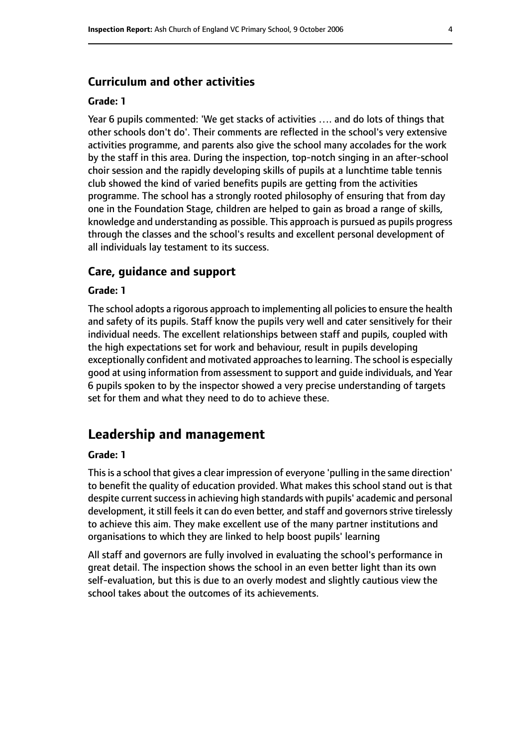#### **Curriculum and other activities**

#### **Grade: 1**

Year 6 pupils commented: 'We get stacks of activities …. and do lots of things that other schools don't do'. Their comments are reflected in the school's very extensive activities programme, and parents also give the school many accolades for the work by the staff in this area. During the inspection, top-notch singing in an after-school choir session and the rapidly developing skills of pupils at a lunchtime table tennis club showed the kind of varied benefits pupils are getting from the activities programme. The school has a strongly rooted philosophy of ensuring that from day one in the Foundation Stage, children are helped to gain as broad a range of skills, knowledge and understanding as possible. This approach is pursued as pupils progress through the classes and the school's results and excellent personal development of all individuals lay testament to its success.

#### **Care, guidance and support**

#### **Grade: 1**

The school adopts a rigorous approach to implementing all policies to ensure the health and safety of its pupils. Staff know the pupils very well and cater sensitively for their individual needs. The excellent relationships between staff and pupils, coupled with the high expectations set for work and behaviour, result in pupils developing exceptionally confident and motivated approaches to learning. The school is especially good at using information from assessment to support and guide individuals, and Year 6 pupils spoken to by the inspector showed a very precise understanding of targets set for them and what they need to do to achieve these.

### **Leadership and management**

#### **Grade: 1**

This is a school that gives a clear impression of everyone 'pulling in the same direction' to benefit the quality of education provided. What makes this school stand out is that despite current success in achieving high standards with pupils' academic and personal development, it still feels it can do even better, and staff and governors strive tirelessly to achieve this aim. They make excellent use of the many partner institutions and organisations to which they are linked to help boost pupils' learning

All staff and governors are fully involved in evaluating the school's performance in great detail. The inspection shows the school in an even better light than its own self-evaluation, but this is due to an overly modest and slightly cautious view the school takes about the outcomes of its achievements.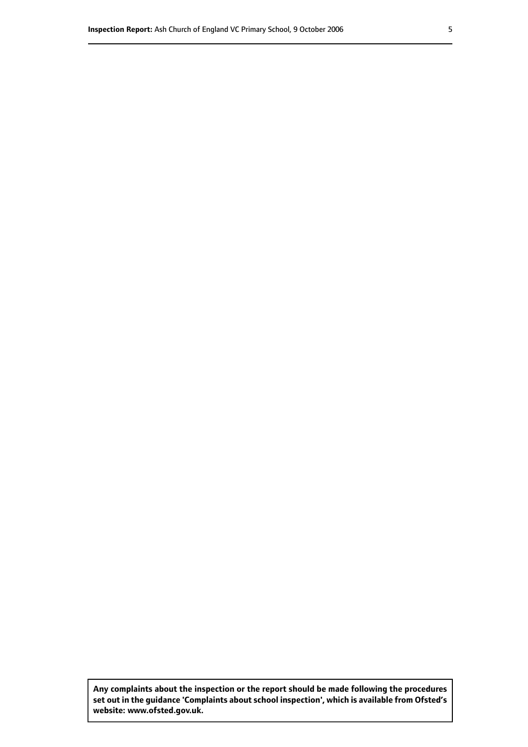**Any complaints about the inspection or the report should be made following the procedures set out inthe guidance 'Complaints about school inspection', whichis available from Ofsted's website: www.ofsted.gov.uk.**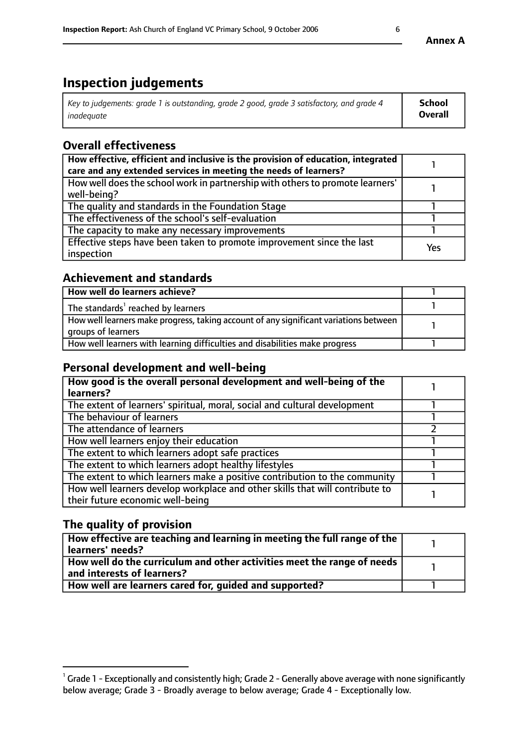# **Inspection judgements**

| Key to judgements: grade 1 is outstanding, grade 2 good, grade 3 satisfactory, and grade 4 | <b>School</b>  |
|--------------------------------------------------------------------------------------------|----------------|
| inadeauate                                                                                 | <b>Overall</b> |

# **Overall effectiveness**

| How effective, efficient and inclusive is the provision of education, integrated<br>care and any extended services in meeting the needs of learners? |     |
|------------------------------------------------------------------------------------------------------------------------------------------------------|-----|
| How well does the school work in partnership with others to promote learners'<br>well-being?                                                         |     |
| The quality and standards in the Foundation Stage                                                                                                    |     |
| The effectiveness of the school's self-evaluation                                                                                                    |     |
| The capacity to make any necessary improvements                                                                                                      |     |
| Effective steps have been taken to promote improvement since the last<br>inspection                                                                  | Yes |

## **Achievement and standards**

| How well do learners achieve?                                                                               |  |
|-------------------------------------------------------------------------------------------------------------|--|
| The standards <sup>1</sup> reached by learners                                                              |  |
| How well learners make progress, taking account of any significant variations between<br>groups of learners |  |
| How well learners with learning difficulties and disabilities make progress                                 |  |

# **Personal development and well-being**

| How good is the overall personal development and well-being of the<br>learners?                                  |  |
|------------------------------------------------------------------------------------------------------------------|--|
| The extent of learners' spiritual, moral, social and cultural development                                        |  |
| The behaviour of learners                                                                                        |  |
| The attendance of learners                                                                                       |  |
| How well learners enjoy their education                                                                          |  |
| The extent to which learners adopt safe practices                                                                |  |
| The extent to which learners adopt healthy lifestyles                                                            |  |
| The extent to which learners make a positive contribution to the community                                       |  |
| How well learners develop workplace and other skills that will contribute to<br>their future economic well-being |  |

# **The quality of provision**

| How effective are teaching and learning in meeting the full range of the<br>  learners' needs?                      |  |
|---------------------------------------------------------------------------------------------------------------------|--|
| $\mid$ How well do the curriculum and other activities meet the range of needs<br>$\mid$ and interests of learners? |  |
| How well are learners cared for, guided and supported?                                                              |  |

 $^1$  Grade 1 - Exceptionally and consistently high; Grade 2 - Generally above average with none significantly below average; Grade 3 - Broadly average to below average; Grade 4 - Exceptionally low.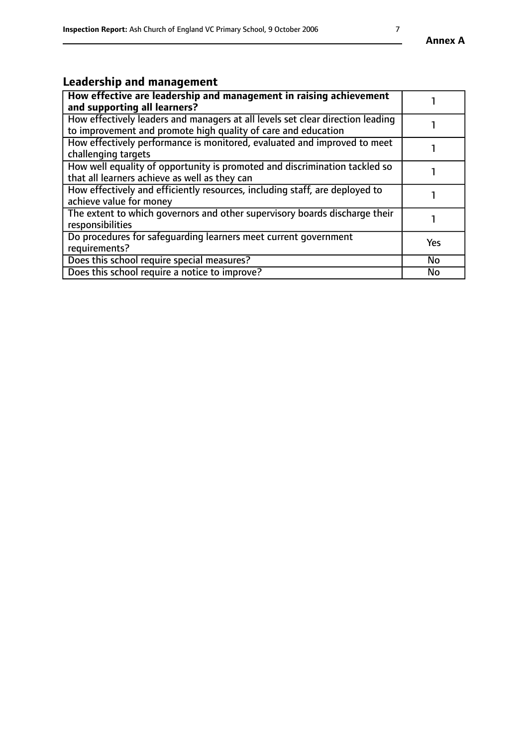# **Leadership and management**

| How effective are leadership and management in raising achievement<br>and supporting all learners?                                              |           |
|-------------------------------------------------------------------------------------------------------------------------------------------------|-----------|
| How effectively leaders and managers at all levels set clear direction leading<br>to improvement and promote high quality of care and education |           |
| How effectively performance is monitored, evaluated and improved to meet<br>challenging targets                                                 |           |
| How well equality of opportunity is promoted and discrimination tackled so<br>that all learners achieve as well as they can                     |           |
| How effectively and efficiently resources, including staff, are deployed to<br>achieve value for money                                          |           |
| The extent to which governors and other supervisory boards discharge their<br>responsibilities                                                  |           |
| Do procedures for safequarding learners meet current government<br>requirements?                                                                | Yes       |
| Does this school require special measures?                                                                                                      | <b>No</b> |
| Does this school require a notice to improve?                                                                                                   | <b>No</b> |